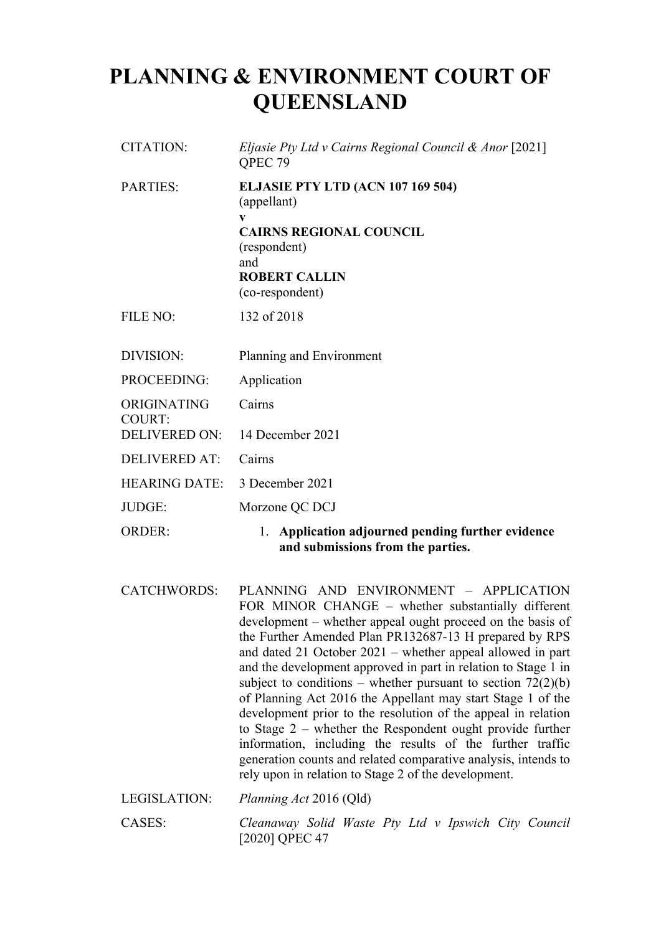# **PLANNING & ENVIRONMENT COURT OF QUEENSLAND**

| <b>CITATION:</b>             | Eljasie Pty Ltd v Cairns Regional Council & Anor [2021]<br>QPEC 79                                                                                                                                                                                                                                                                                                                                                                                 |
|------------------------------|----------------------------------------------------------------------------------------------------------------------------------------------------------------------------------------------------------------------------------------------------------------------------------------------------------------------------------------------------------------------------------------------------------------------------------------------------|
| <b>PARTIES:</b>              | ELJASIE PTY LTD (ACN 107 169 504)<br>(appellant)<br>$\mathbf{v}$<br><b>CAIRNS REGIONAL COUNCIL</b><br>(respondent)<br>and<br><b>ROBERT CALLIN</b><br>(co-respondent)                                                                                                                                                                                                                                                                               |
| <b>FILE NO:</b>              | 132 of 2018                                                                                                                                                                                                                                                                                                                                                                                                                                        |
| DIVISION:                    | Planning and Environment                                                                                                                                                                                                                                                                                                                                                                                                                           |
| PROCEEDING:                  | Application                                                                                                                                                                                                                                                                                                                                                                                                                                        |
| ORIGINATING<br><b>COURT:</b> | Cairns                                                                                                                                                                                                                                                                                                                                                                                                                                             |
| DELIVERED ON:                | 14 December 2021                                                                                                                                                                                                                                                                                                                                                                                                                                   |
| <b>DELIVERED AT:</b>         | Cairns                                                                                                                                                                                                                                                                                                                                                                                                                                             |
| <b>HEARING DATE:</b>         | 3 December 2021                                                                                                                                                                                                                                                                                                                                                                                                                                    |
| JUDGE:                       | Morzone QC DCJ                                                                                                                                                                                                                                                                                                                                                                                                                                     |
| <b>ORDER:</b>                | Application adjourned pending further evidence<br>1.<br>and submissions from the parties.                                                                                                                                                                                                                                                                                                                                                          |
| <b>CATCHWORDS:</b>           | PLANNING AND ENVIRONMENT - APPLICATION<br>FOR MINOR CHANGE - whether substantially different<br>development – whether appeal ought proceed on the basis of<br>the Further Amended Plan PR132687-13 H prepared by RPS<br>and dated 21 October $2021$ – whether appeal allowed in part<br>and the development approved in part in relation to Stage 1 in<br>subject to conditions – whether pursuant to section $72(2)(b)$<br>$CD1 \tA + 201CA + 11$ |

and the development approved in part in relation to Stage 1 in subject to conditions – whether pursuant to section  $72(2)(b)$ of Planning Act 2016 the Appellant may start Stage 1 of the development prior to the resolution of the appeal in relation to Stage 2 – whether the Respondent ought provide further information, including the results of the further traffic generation counts and related comparative analysis, intends to rely upon in relation to Stage 2 of the development.

LEGISLATION: *Planning Act* 2016 (Qld) CASES: *Cleanaway Solid Waste Pty Ltd v Ipswich City Council* [2020] QPEC 47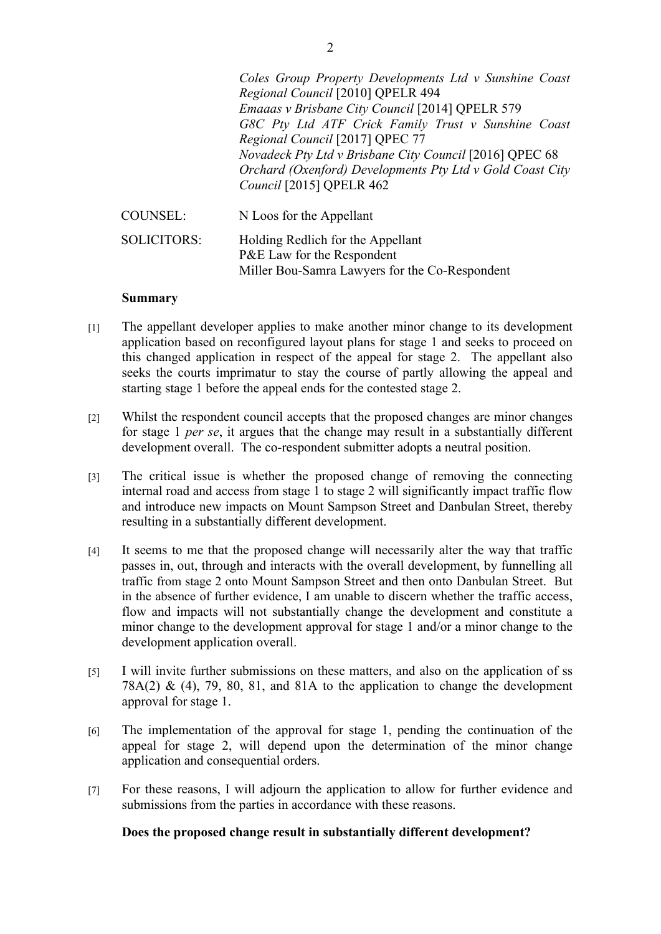|                    | Coles Group Property Developments Ltd v Sunshine Coast<br>Regional Council [2010] QPELR 494<br>Emaaas v Brisbane City Council [2014] QPELR 579<br>G8C Pty Ltd ATF Crick Family Trust v Sunshine Coast<br>Regional Council [2017] QPEC 77<br>Novadeck Pty Ltd v Brisbane City Council [2016] QPEC 68<br>Orchard (Oxenford) Developments Pty Ltd v Gold Coast City<br>Council [2015] QPELR 462 |
|--------------------|----------------------------------------------------------------------------------------------------------------------------------------------------------------------------------------------------------------------------------------------------------------------------------------------------------------------------------------------------------------------------------------------|
| <b>COUNSEL:</b>    | N Loos for the Appellant                                                                                                                                                                                                                                                                                                                                                                     |
| <b>SOLICITORS:</b> | Holding Redlich for the Appellant<br>P&E Law for the Respondent                                                                                                                                                                                                                                                                                                                              |

Miller Bou-Samra Lawyers for the Co-Respondent

### **Summary**

- [1] The appellant developer applies to make another minor change to its development application based on reconfigured layout plans for stage 1 and seeks to proceed on this changed application in respect of the appeal for stage 2. The appellant also seeks the courts imprimatur to stay the course of partly allowing the appeal and starting stage 1 before the appeal ends for the contested stage 2.
- [2] Whilst the respondent council accepts that the proposed changes are minor changes for stage 1 *per se*, it argues that the change may result in a substantially different development overall. The co-respondent submitter adopts a neutral position.
- [3] The critical issue is whether the proposed change of removing the connecting internal road and access from stage 1 to stage 2 will significantly impact traffic flow and introduce new impacts on Mount Sampson Street and Danbulan Street, thereby resulting in a substantially different development.
- [4] It seems to me that the proposed change will necessarily alter the way that traffic passes in, out, through and interacts with the overall development, by funnelling all traffic from stage 2 onto Mount Sampson Street and then onto Danbulan Street. But in the absence of further evidence, I am unable to discern whether the traffic access, flow and impacts will not substantially change the development and constitute a minor change to the development approval for stage 1 and/or a minor change to the development application overall.
- [5] I will invite further submissions on these matters, and also on the application of ss 78A(2) & (4), 79, 80, 81, and 81A to the application to change the development approval for stage 1.
- [6] The implementation of the approval for stage 1, pending the continuation of the appeal for stage 2, will depend upon the determination of the minor change application and consequential orders.
- [7] For these reasons, I will adjourn the application to allow for further evidence and submissions from the parties in accordance with these reasons.

#### **Does the proposed change result in substantially different development?**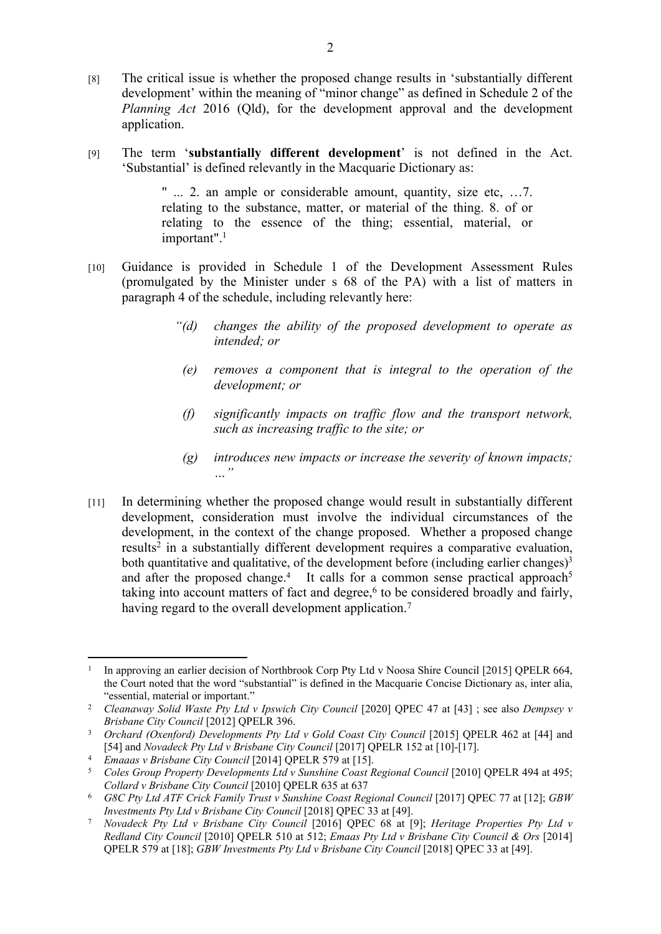- [8] The critical issue is whether the proposed change results in 'substantially different development' within the meaning of "minor change" as defined in Schedule 2 of the *Planning Act* 2016 (Old), for the development approval and the development application.
- [9] The term '**substantially different development**' is not defined in the Act. 'Substantial' is defined relevantly in the Macquarie Dictionary as:

" ... 2. an ample or considerable amount, quantity, size etc, …7. relating to the substance, matter, or material of the thing. 8. of or relating to the essence of the thing; essential, material, or important".<sup>1</sup>

- [10] Guidance is provided in Schedule 1 of the Development Assessment Rules (promulgated by the Minister under s 68 of the PA) with a list of matters in paragraph 4 of the schedule, including relevantly here:
	- *"(d) changes the ability of the proposed development to operate as intended; or*
	- *(e) removes a component that is integral to the operation of the development; or*
	- *(f) significantly impacts on traffic flow and the transport network, such as increasing traffic to the site; or*
	- *(g) introduces new impacts or increase the severity of known impacts; …"*
- [11] In determining whether the proposed change would result in substantially different development, consideration must involve the individual circumstances of the development, in the context of the change proposed. Whether a proposed change results<sup>2</sup> in a substantially different development requires a comparative evaluation, both quantitative and qualitative, of the development before (including earlier changes)<sup>3</sup> and after the proposed change.<sup>4</sup> It calls for a common sense practical approach<sup>5</sup> taking into account matters of fact and degree, $6$  to be considered broadly and fairly, having regard to the overall development application.<sup>7</sup>

<sup>1</sup> In approving an earlier decision of Northbrook Corp Pty Ltd v Noosa Shire Council [2015] QPELR 664, the Court noted that the word "substantial" is defined in the Macquarie Concise Dictionary as, inter alia, "essential, material or important."

<sup>&</sup>lt;sup>2</sup> *Cleanaway Solid Waste Pty Ltd v Ipswich City Council* [2020] QPEC 47 at [43] ; see also *Dempsey v Brisbane City Council* [2012] QPELR 396.

<sup>&</sup>lt;sup>3</sup> *Orchard (Oxenford) Developments Pty Ltd v Gold Coast City Council* [2015] QPELR 462 at [44] and [54] and *Novadeck Pty Ltd v Brisbane City Council* [2017] QPELR 152 at [10]-[17].

<sup>&</sup>lt;sup>4</sup> *Emaaas v Brisbane City Council* [2014] QPELR 579 at [15].<br><sup>5</sup> Coles Group Property Developments Ltd v Sunshine Coast R

<sup>5</sup> *Coles Group Property Developments Ltd v Sunshine Coast Regional Council* [2010] QPELR 494 at 495; *Collard v Brisbane City Council* [2010] QPELR 635 at 637

<sup>&</sup>lt;sup>6</sup> *G8C Pty Ltd ATF Crick Family Trust v Sunshine Coast Regional Council* [2017] QPEC 77 at [12]; *GBW Investments Pty Ltd v Brisbane City Council* [2018] QPEC 33 at [49].

<sup>7</sup> *Novadeck Pty Ltd v Brisbane City Council* [2016] QPEC 68 at [9]; *Heritage Properties Pty Ltd v Redland City Council* [2010] QPELR 510 at 512; *Emaas Pty Ltd v Brisbane City Council & Ors* [2014] QPELR 579 at [18]; *GBW Investments Pty Ltd v Brisbane City Council* [2018] QPEC 33 at [49].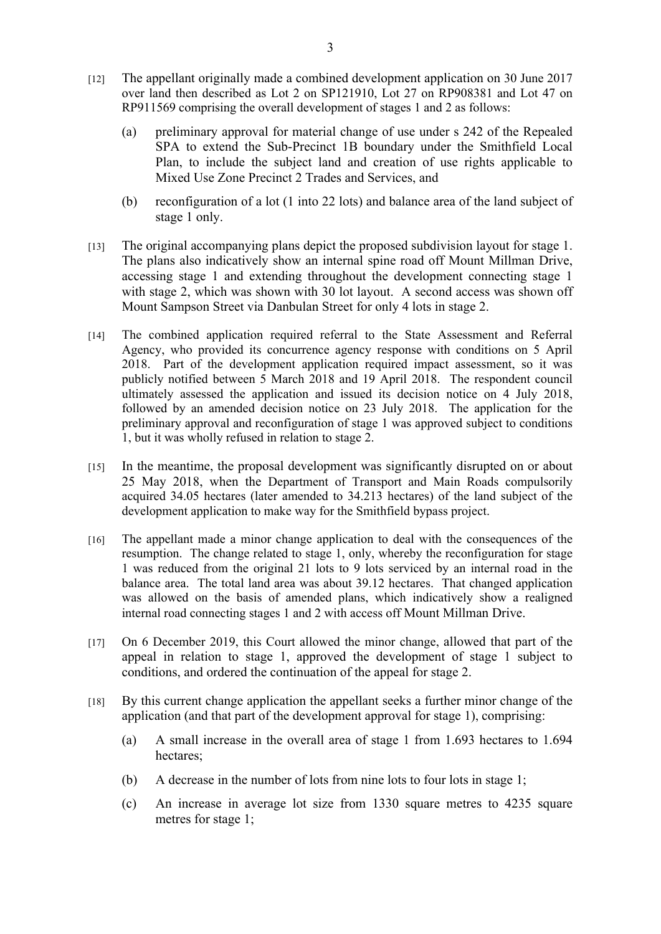- [12] The appellant originally made a combined development application on 30 June 2017 over land then described as Lot 2 on SP121910, Lot 27 on RP908381 and Lot 47 on RP911569 comprising the overall development of stages 1 and 2 as follows:
	- (a) preliminary approval for material change of use under s 242 of the Repealed SPA to extend the Sub-Precinct 1B boundary under the Smithfield Local Plan, to include the subject land and creation of use rights applicable to Mixed Use Zone Precinct 2 Trades and Services, and
	- (b) reconfiguration of a lot (1 into 22 lots) and balance area of the land subject of stage 1 only.
- [13] The original accompanying plans depict the proposed subdivision layout for stage 1. The plans also indicatively show an internal spine road off Mount Millman Drive, accessing stage 1 and extending throughout the development connecting stage 1 with stage 2, which was shown with 30 lot layout. A second access was shown off Mount Sampson Street via Danbulan Street for only 4 lots in stage 2.
- [14] The combined application required referral to the State Assessment and Referral Agency, who provided its concurrence agency response with conditions on 5 April 2018. Part of the development application required impact assessment, so it was publicly notified between 5 March 2018 and 19 April 2018. The respondent council ultimately assessed the application and issued its decision notice on 4 July 2018, followed by an amended decision notice on 23 July 2018. The application for the preliminary approval and reconfiguration of stage 1 was approved subject to conditions 1, but it was wholly refused in relation to stage 2.
- [15] In the meantime, the proposal development was significantly disrupted on or about 25 May 2018, when the Department of Transport and Main Roads compulsorily acquired 34.05 hectares (later amended to 34.213 hectares) of the land subject of the development application to make way for the Smithfield bypass project.
- [16] The appellant made a minor change application to deal with the consequences of the resumption. The change related to stage 1, only, whereby the reconfiguration for stage 1 was reduced from the original 21 lots to 9 lots serviced by an internal road in the balance area. The total land area was about 39.12 hectares. That changed application was allowed on the basis of amended plans, which indicatively show a realigned internal road connecting stages 1 and 2 with access off Mount Millman Drive.
- [17] On 6 December 2019, this Court allowed the minor change, allowed that part of the appeal in relation to stage 1, approved the development of stage 1 subject to conditions, and ordered the continuation of the appeal for stage 2.
- [18] By this current change application the appellant seeks a further minor change of the application (and that part of the development approval for stage 1), comprising:
	- (a) A small increase in the overall area of stage 1 from 1.693 hectares to 1.694 hectares;
	- (b) A decrease in the number of lots from nine lots to four lots in stage 1;
	- (c) An increase in average lot size from 1330 square metres to 4235 square metres for stage 1;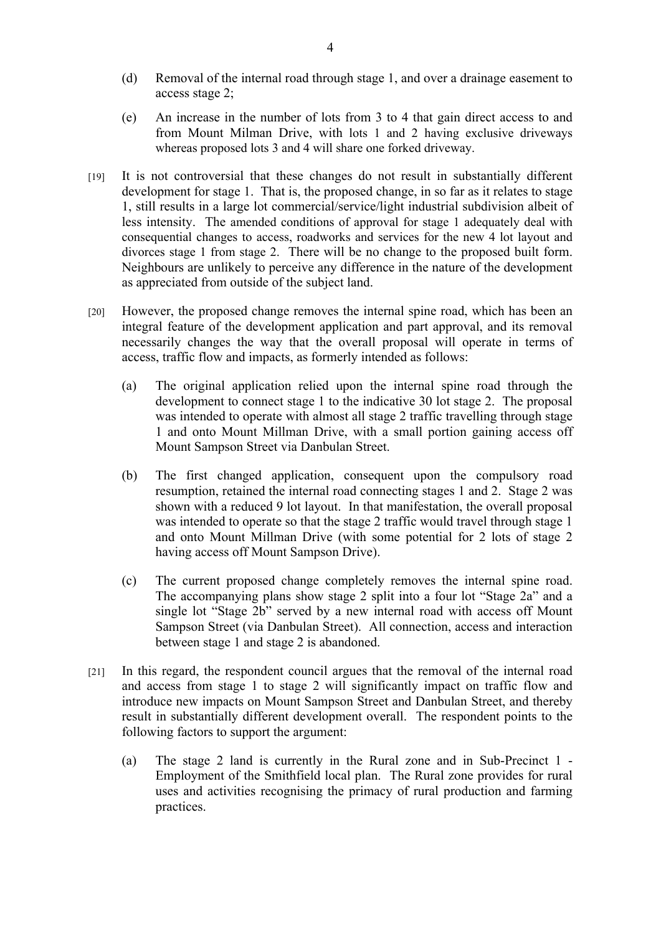- (d) Removal of the internal road through stage 1, and over a drainage easement to access stage 2;
- (e) An increase in the number of lots from 3 to 4 that gain direct access to and from Mount Milman Drive, with lots 1 and 2 having exclusive driveways whereas proposed lots 3 and 4 will share one forked driveway.
- [19] It is not controversial that these changes do not result in substantially different development for stage 1. That is, the proposed change, in so far as it relates to stage 1, still results in a large lot commercial/service/light industrial subdivision albeit of less intensity. The amended conditions of approval for stage 1 adequately deal with consequential changes to access, roadworks and services for the new 4 lot layout and divorces stage 1 from stage 2. There will be no change to the proposed built form. Neighbours are unlikely to perceive any difference in the nature of the development as appreciated from outside of the subject land.
- [20] However, the proposed change removes the internal spine road, which has been an integral feature of the development application and part approval, and its removal necessarily changes the way that the overall proposal will operate in terms of access, traffic flow and impacts, as formerly intended as follows:
	- (a) The original application relied upon the internal spine road through the development to connect stage 1 to the indicative 30 lot stage 2. The proposal was intended to operate with almost all stage 2 traffic travelling through stage 1 and onto Mount Millman Drive, with a small portion gaining access off Mount Sampson Street via Danbulan Street.
	- (b) The first changed application, consequent upon the compulsory road resumption, retained the internal road connecting stages 1 and 2. Stage 2 was shown with a reduced 9 lot layout. In that manifestation, the overall proposal was intended to operate so that the stage 2 traffic would travel through stage 1 and onto Mount Millman Drive (with some potential for 2 lots of stage 2 having access off Mount Sampson Drive).
	- (c) The current proposed change completely removes the internal spine road. The accompanying plans show stage 2 split into a four lot "Stage 2a" and a single lot "Stage 2b" served by a new internal road with access off Mount Sampson Street (via Danbulan Street). All connection, access and interaction between stage 1 and stage 2 is abandoned.
- [21] In this regard, the respondent council argues that the removal of the internal road and access from stage 1 to stage 2 will significantly impact on traffic flow and introduce new impacts on Mount Sampson Street and Danbulan Street, and thereby result in substantially different development overall. The respondent points to the following factors to support the argument:
	- (a) The stage 2 land is currently in the Rural zone and in Sub-Precinct 1 Employment of the Smithfield local plan. The Rural zone provides for rural uses and activities recognising the primacy of rural production and farming practices.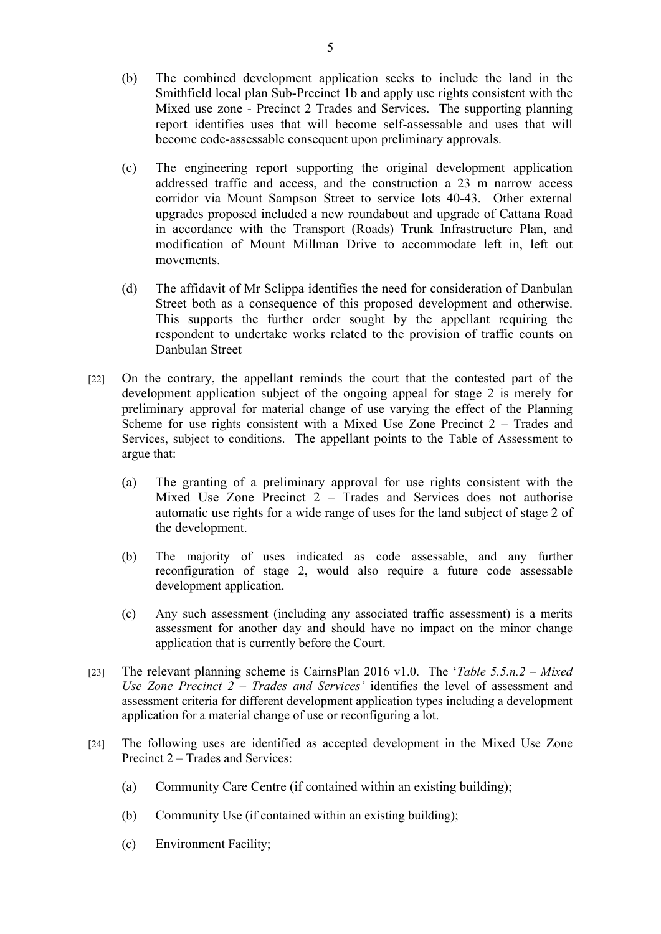- (b) The combined development application seeks to include the land in the Smithfield local plan Sub-Precinct 1b and apply use rights consistent with the Mixed use zone - Precinct 2 Trades and Services. The supporting planning report identifies uses that will become self-assessable and uses that will become code-assessable consequent upon preliminary approvals.
- (c) The engineering report supporting the original development application addressed traffic and access, and the construction a 23 m narrow access corridor via Mount Sampson Street to service lots 40-43. Other external upgrades proposed included a new roundabout and upgrade of Cattana Road in accordance with the Transport (Roads) Trunk Infrastructure Plan, and modification of Mount Millman Drive to accommodate left in, left out movements.
- (d) The affidavit of Mr Sclippa identifies the need for consideration of Danbulan Street both as a consequence of this proposed development and otherwise. This supports the further order sought by the appellant requiring the respondent to undertake works related to the provision of traffic counts on Danbulan Street
- [22] On the contrary, the appellant reminds the court that the contested part of the development application subject of the ongoing appeal for stage 2 is merely for preliminary approval for material change of use varying the effect of the Planning Scheme for use rights consistent with a Mixed Use Zone Precinct 2 – Trades and Services, subject to conditions. The appellant points to the Table of Assessment to argue that:
	- (a) The granting of a preliminary approval for use rights consistent with the Mixed Use Zone Precinct 2 – Trades and Services does not authorise automatic use rights for a wide range of uses for the land subject of stage 2 of the development.
	- (b) The majority of uses indicated as code assessable, and any further reconfiguration of stage 2, would also require a future code assessable development application.
	- (c) Any such assessment (including any associated traffic assessment) is a merits assessment for another day and should have no impact on the minor change application that is currently before the Court.
- [23] The relevant planning scheme is CairnsPlan 2016 v1.0. The '*Table 5.5.n.2 Mixed Use Zone Precinct 2 – Trades and Services'* identifies the level of assessment and assessment criteria for different development application types including a development application for a material change of use or reconfiguring a lot.
- [24] The following uses are identified as accepted development in the Mixed Use Zone Precinct 2 – Trades and Services:
	- (a) Community Care Centre (if contained within an existing building);
	- (b) Community Use (if contained within an existing building);
	- (c) Environment Facility;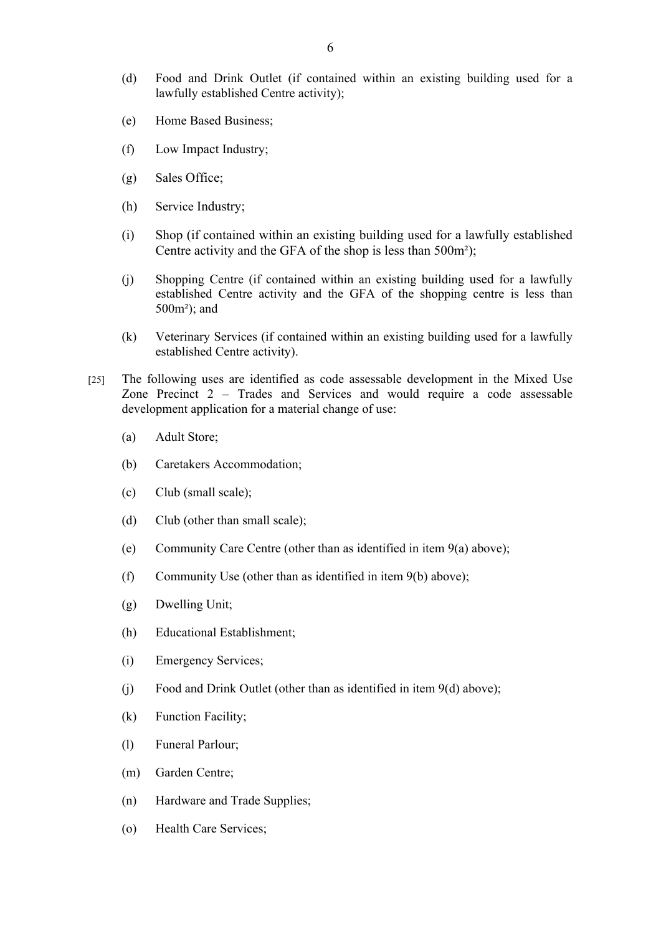- (d) Food and Drink Outlet (if contained within an existing building used for a lawfully established Centre activity);
- (e) Home Based Business;
- (f) Low Impact Industry;
- (g) Sales Office;
- (h) Service Industry;
- (i) Shop (if contained within an existing building used for a lawfully established Centre activity and the GFA of the shop is less than 500m²);
- (j) Shopping Centre (if contained within an existing building used for a lawfully established Centre activity and the GFA of the shopping centre is less than 500m²); and
- (k) Veterinary Services (if contained within an existing building used for a lawfully established Centre activity).
- [25] The following uses are identified as code assessable development in the Mixed Use Zone Precinct 2 – Trades and Services and would require a code assessable development application for a material change of use:
	- (a) Adult Store;
	- (b) Caretakers Accommodation;
	- (c) Club (small scale);
	- (d) Club (other than small scale);
	- (e) Community Care Centre (other than as identified in item 9(a) above);
	- (f) Community Use (other than as identified in item 9(b) above);
	- (g) Dwelling Unit;
	- (h) Educational Establishment;
	- (i) Emergency Services;
	- (j) Food and Drink Outlet (other than as identified in item 9(d) above);
	- (k) Function Facility;
	- (l) Funeral Parlour;
	- (m) Garden Centre;
	- (n) Hardware and Trade Supplies;
	- (o) Health Care Services;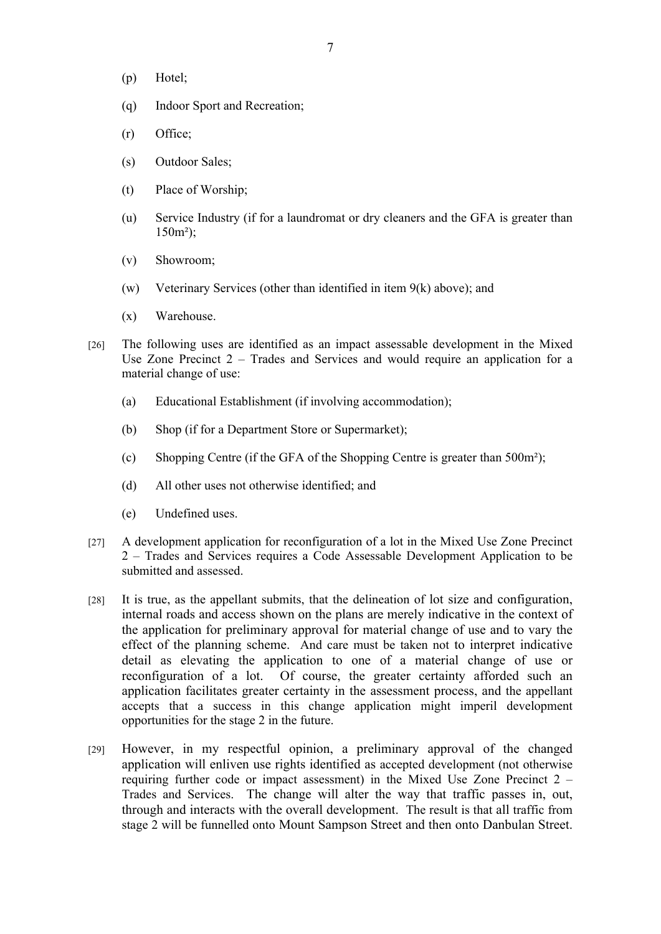- (p) Hotel;
- (q) Indoor Sport and Recreation;
- (r) Office;
- (s) Outdoor Sales;
- (t) Place of Worship;
- (u) Service Industry (if for a laundromat or dry cleaners and the GFA is greater than 150m²);
- (v) Showroom;
- (w) Veterinary Services (other than identified in item 9(k) above); and
- (x) Warehouse.
- [26] The following uses are identified as an impact assessable development in the Mixed Use Zone Precinct 2 – Trades and Services and would require an application for a material change of use:
	- (a) Educational Establishment (if involving accommodation);
	- (b) Shop (if for a Department Store or Supermarket);
	- (c) Shopping Centre (if the GFA of the Shopping Centre is greater than 500m²);
	- (d) All other uses not otherwise identified; and
	- (e) Undefined uses.
- [27] A development application for reconfiguration of a lot in the Mixed Use Zone Precinct 2 – Trades and Services requires a Code Assessable Development Application to be submitted and assessed.
- [28] It is true, as the appellant submits, that the delineation of lot size and configuration, internal roads and access shown on the plans are merely indicative in the context of the application for preliminary approval for material change of use and to vary the effect of the planning scheme. And care must be taken not to interpret indicative detail as elevating the application to one of a material change of use or reconfiguration of a lot. Of course, the greater certainty afforded such an application facilitates greater certainty in the assessment process, and the appellant accepts that a success in this change application might imperil development opportunities for the stage 2 in the future.
- [29] However, in my respectful opinion, a preliminary approval of the changed application will enliven use rights identified as accepted development (not otherwise requiring further code or impact assessment) in the Mixed Use Zone Precinct 2 – Trades and Services. The change will alter the way that traffic passes in, out, through and interacts with the overall development. The result is that all traffic from stage 2 will be funnelled onto Mount Sampson Street and then onto Danbulan Street.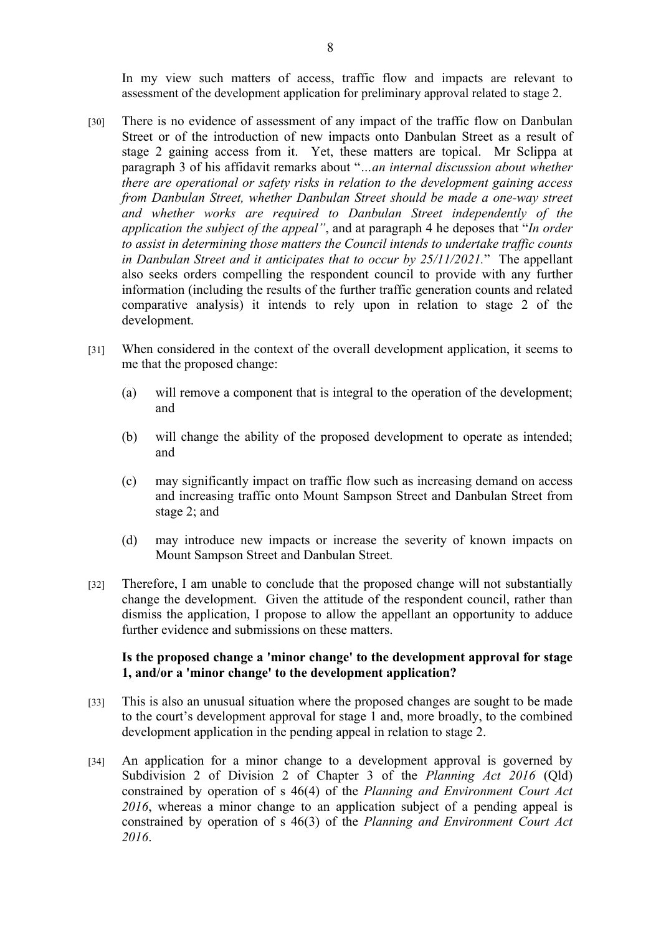In my view such matters of access, traffic flow and impacts are relevant to assessment of the development application for preliminary approval related to stage 2.

- [30] There is no evidence of assessment of any impact of the traffic flow on Danbulan Street or of the introduction of new impacts onto Danbulan Street as a result of stage 2 gaining access from it. Yet, these matters are topical. Mr Sclippa at paragraph 3 of his affidavit remarks about "*…an internal discussion about whether there are operational or safety risks in relation to the development gaining access from Danbulan Street, whether Danbulan Street should be made a one-way street and whether works are required to Danbulan Street independently of the application the subject of the appeal"*, and at paragraph 4 he deposes that "*In order to assist in determining those matters the Council intends to undertake traffic counts in Danbulan Street and it anticipates that to occur by 25/11/2021.*" The appellant also seeks orders compelling the respondent council to provide with any further information (including the results of the further traffic generation counts and related comparative analysis) it intends to rely upon in relation to stage 2 of the development.
- [31] When considered in the context of the overall development application, it seems to me that the proposed change:
	- (a) will remove a component that is integral to the operation of the development; and
	- (b) will change the ability of the proposed development to operate as intended; and
	- (c) may significantly impact on traffic flow such as increasing demand on access and increasing traffic onto Mount Sampson Street and Danbulan Street from stage 2; and
	- (d) may introduce new impacts or increase the severity of known impacts on Mount Sampson Street and Danbulan Street.
- [32] Therefore, I am unable to conclude that the proposed change will not substantially change the development. Given the attitude of the respondent council, rather than dismiss the application, I propose to allow the appellant an opportunity to adduce further evidence and submissions on these matters.

## **Is the proposed change a 'minor change' to the development approval for stage 1, and/or a 'minor change' to the development application?**

- [33] This is also an unusual situation where the proposed changes are sought to be made to the court's development approval for stage 1 and, more broadly, to the combined development application in the pending appeal in relation to stage 2.
- [34] An application for a minor change to a development approval is governed by Subdivision 2 of Division 2 of Chapter 3 of the *Planning Act 2016* (Qld) constrained by operation of s 46(4) of the *Planning and Environment Court Act 2016*, whereas a minor change to an application subject of a pending appeal is constrained by operation of s 46(3) of the *Planning and Environment Court Act 2016*.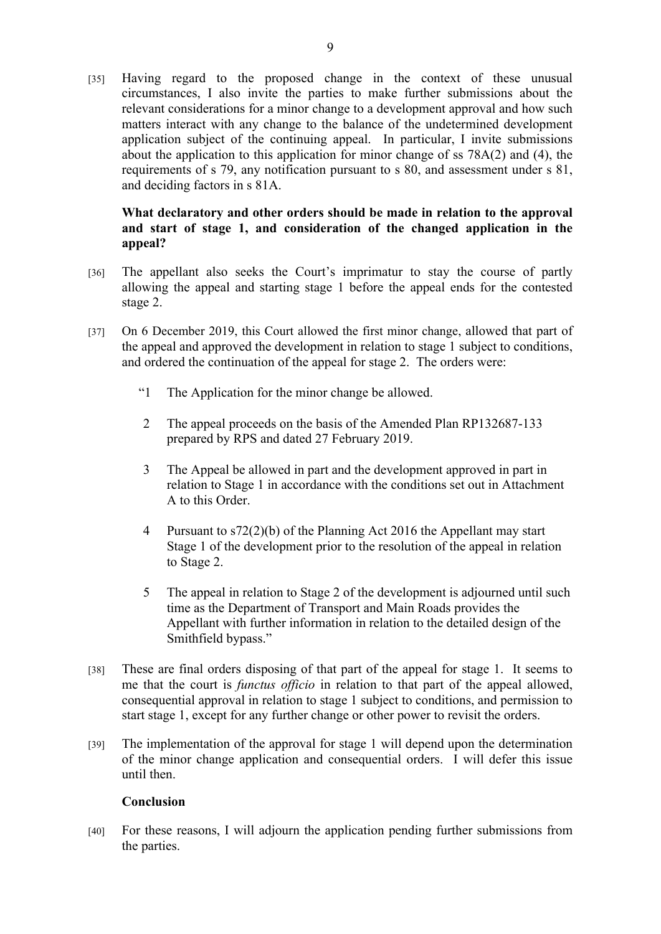[35] Having regard to the proposed change in the context of these unusual circumstances, I also invite the parties to make further submissions about the relevant considerations for a minor change to a development approval and how such matters interact with any change to the balance of the undetermined development application subject of the continuing appeal. In particular, I invite submissions about the application to this application for minor change of ss 78A(2) and (4), the requirements of s 79, any notification pursuant to s 80, and assessment under s 81, and deciding factors in s 81A.

# **What declaratory and other orders should be made in relation to the approval and start of stage 1, and consideration of the changed application in the appeal?**

- [36] The appellant also seeks the Court's imprimatur to stay the course of partly allowing the appeal and starting stage 1 before the appeal ends for the contested stage 2.
- [37] On 6 December 2019, this Court allowed the first minor change, allowed that part of the appeal and approved the development in relation to stage 1 subject to conditions, and ordered the continuation of the appeal for stage 2. The orders were:
	- "1 The Application for the minor change be allowed.
	- 2 The appeal proceeds on the basis of the Amended Plan RP132687-133 prepared by RPS and dated 27 February 2019.
	- 3 The Appeal be allowed in part and the development approved in part in relation to Stage 1 in accordance with the conditions set out in Attachment A to this Order.
	- 4 Pursuant to s72(2)(b) of the Planning Act 2016 the Appellant may start Stage 1 of the development prior to the resolution of the appeal in relation to Stage 2.
	- 5 The appeal in relation to Stage 2 of the development is adjourned until such time as the Department of Transport and Main Roads provides the Appellant with further information in relation to the detailed design of the Smithfield bypass."
- [38] These are final orders disposing of that part of the appeal for stage 1. It seems to me that the court is *functus officio* in relation to that part of the appeal allowed, consequential approval in relation to stage 1 subject to conditions, and permission to start stage 1, except for any further change or other power to revisit the orders.
- [39] The implementation of the approval for stage 1 will depend upon the determination of the minor change application and consequential orders. I will defer this issue until then.

## **Conclusion**

[40] For these reasons, I will adjourn the application pending further submissions from the parties.